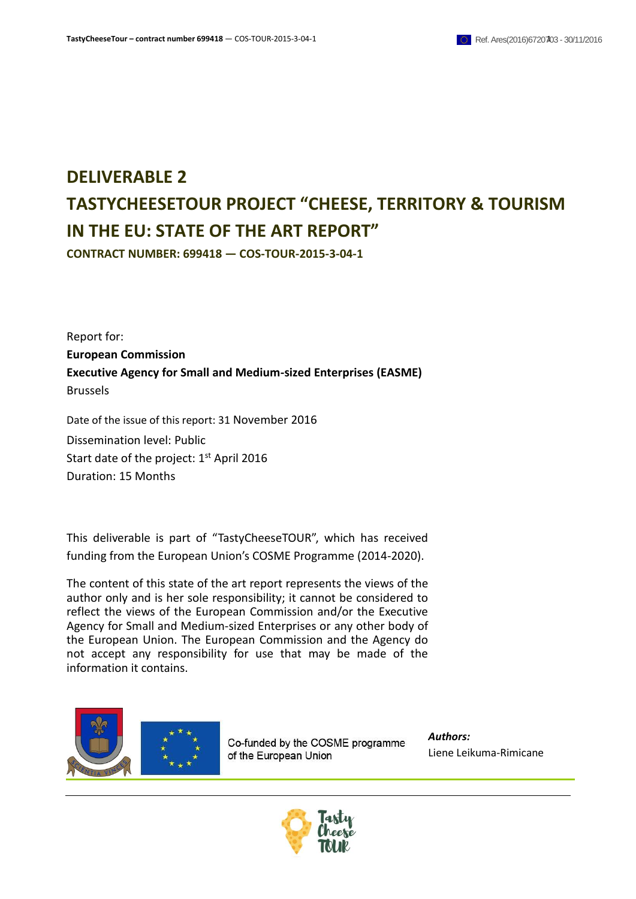# **DELIVERABLE 2 TASTYCHEESETOUR PROJECT "CHEESE, TERRITORY & TOURISM IN THE EU: STATE OF THE ART REPORT"**

**CONTRACT NUMBER: 699418 — COS-TOUR-2015-3-04-1**

Report for: **European Commission Executive Agency for Small and Medium-sized Enterprises (EASME)** Brussels

Date of the issue of this report: 31 November 2016 Dissemination level: Public Start date of the project: 1<sup>st</sup> April 2016 Duration: 15 Months

This deliverable is part of "TastyCheeseTOUR", which has received funding from the European Union's COSME Programme (2014-2020).

The content of this state of the art report represents the views of the author only and is her sole responsibility; it cannot be considered to reflect the views of the European Commission and/or the Executive Agency for Small and Medium-sized Enterprises or any other body of the European Union. The European Commission and the Agency do not accept any responsibility for use that may be made of the information it contains.



Co-funded by the COSME programme of the European Union

*Authors:* Liene Leikuma-Rimicane

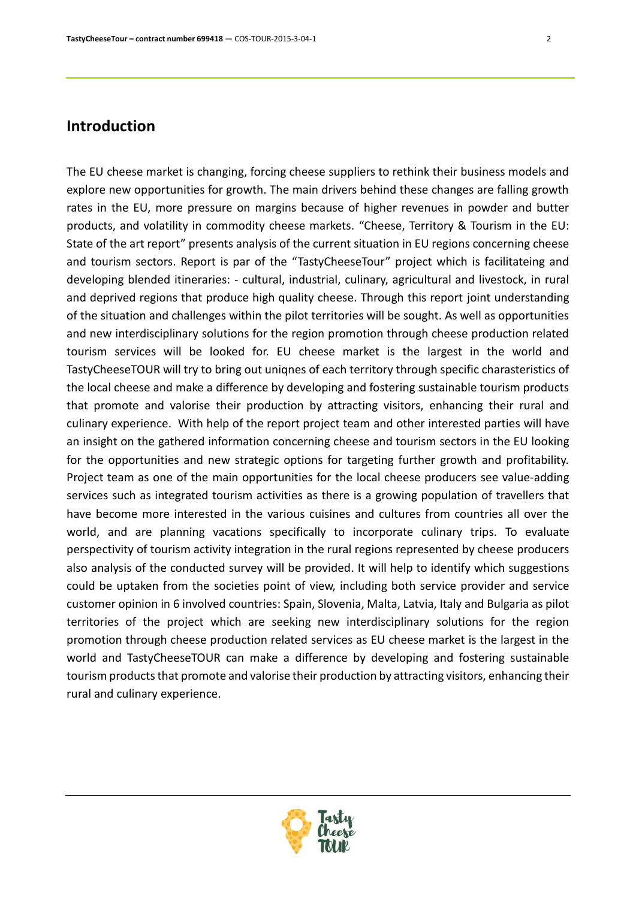### **Introduction**

The EU cheese market is changing, forcing cheese suppliers to rethink their business models and explore new opportunities for growth. The main drivers behind these changes are falling growth rates in the EU, more pressure on margins because of higher revenues in powder and butter products, and volatility in commodity cheese markets. "Cheese, Territory & Tourism in the EU: State of the art report" presents analysis of the current situation in EU regions concerning cheese and tourism sectors. Report is par of the "TastyCheeseTour" project which is facilitateing and developing blended itineraries: - cultural, industrial, culinary, agricultural and livestock, in rural and deprived regions that produce high quality cheese. Through this report joint understanding of the situation and challenges within the pilot territories will be sought. As well as opportunities and new interdisciplinary solutions for the region promotion through cheese production related tourism services will be looked for. EU cheese market is the largest in the world and TastyCheeseTOUR will try to bring out uniqnes of each territory through specific charasteristics of the local cheese and make a difference by developing and fostering sustainable tourism products that promote and valorise their production by attracting visitors, enhancing their rural and culinary experience. With help of the report project team and other interested parties will have an insight on the gathered information concerning cheese and tourism sectors in the EU looking for the opportunities and new strategic options for targeting further growth and profitability. Project team as one of the main opportunities for the local cheese producers see value-adding services such as integrated tourism activities as there is a growing population of travellers that have become more interested in the various cuisines and cultures from countries all over the world, and are planning vacations specifically to incorporate culinary trips. To evaluate perspectivity of tourism activity integration in the rural regions represented by cheese producers also analysis of the conducted survey will be provided. It will help to identify which suggestions could be uptaken from the societies point of view, including both service provider and service customer opinion in 6 involved countries: Spain, Slovenia, Malta, Latvia, Italy and Bulgaria as pilot territories of the project which are seeking new interdisciplinary solutions for the region promotion through cheese production related services as EU cheese market is the largest in the world and TastyCheeseTOUR can make a difference by developing and fostering sustainable tourism products that promote and valorise their production by attracting visitors, enhancing their rural and culinary experience.

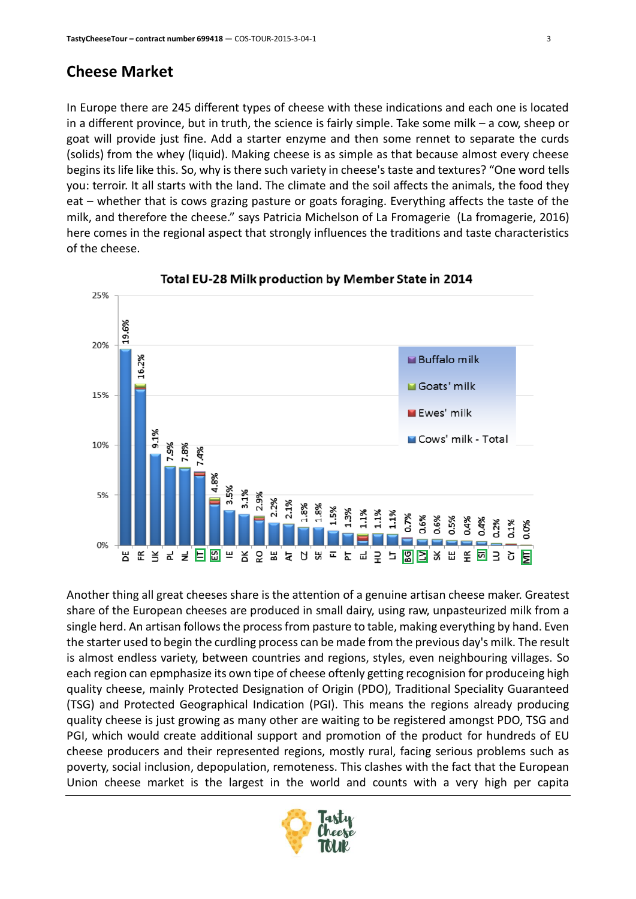### **Cheese Market**

In Europe there are 245 different types of cheese with these indications and each one is located in a different province, but in truth, the science is fairly simple. Take some milk – a cow, sheep or goat will provide just fine. Add a starter enzyme and then some rennet to separate the curds (solids) from the whey (liquid). Making cheese is as simple as that because almost every cheese begins its life like this. So, why is there such variety in cheese's taste and textures? "One word tells you: terroir. It all starts with the land. The climate and the soil affects the animals, the food they eat – whether that is cows grazing pasture or goats foraging. Everything affects the taste of the milk, and therefore the cheese." says Patricia Michelson of La Fromagerie (La fromagerie, 2016) here comes in the regional aspect that strongly influences the traditions and taste characteristics of the cheese.



#### Total EU-28 Milk production by Member State in 2014

Another thing all great cheeses share is the attention of a genuine artisan cheese maker. Greatest share of the European cheeses are produced in small dairy, using raw, unpasteurized milk from a single herd. An artisan follows the process from pasture to table, making everything by hand. Even the starter used to begin the curdling process can be made from the previous day's milk. The result is almost endless variety, between countries and regions, styles, even neighbouring villages. So each region can epmphasize its own tipe of cheese oftenly getting recognision for produceing high quality cheese, mainly Protected Designation of Origin (PDO), Traditional Speciality Guaranteed (TSG) and Protected Geographical Indication (PGI). This means the regions already producing quality cheese is just growing as many other are waiting to be registered amongst PDO, TSG and PGI, which would create additional support and promotion of the product for hundreds of EU cheese producers and their represented regions, mostly rural, facing serious problems such as poverty, social inclusion, depopulation, remoteness. This clashes with the fact that the European Union cheese market is the largest in the world and counts with a very high per capita

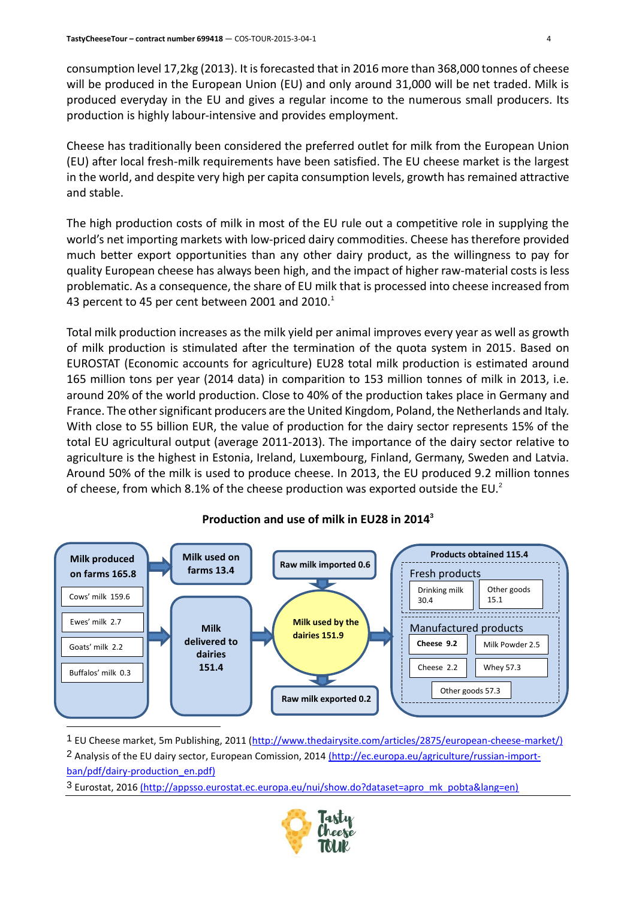consumption level 17,2kg (2013). It is forecasted that in 2016 more than 368,000 tonnes of cheese will be produced in the European Union (EU) and only around 31,000 will be net traded. Milk is produced everyday in the EU and gives a regular income to the numerous small producers. Its production is highly labour-intensive and provides employment.

Cheese has traditionally been considered the preferred outlet for milk from the European Union (EU) after local fresh-milk requirements have been satisfied. The EU cheese market is the largest in the world, and despite very high per capita consumption levels, growth has remained attractive and stable.

The high production costs of milk in most of the EU rule out a competitive role in supplying the world's net importing markets with low-priced dairy commodities. Cheese has therefore provided much better export opportunities than any other dairy product, as the willingness to pay for quality European cheese has always been high, and the impact of higher raw-material costs is less problematic. As a consequence, the share of EU milk that is processed into cheese increased from 43 percent to 45 per cent between 2001 and 2010.<sup>1</sup>

Total milk production increases as the milk yield per animal improves every year as well as growth of milk production is stimulated after the termination of the quota system in 2015. Based on EUROSTAT (Economic accounts for agriculture) EU28 total milk production is estimated around 165 million tons per year (2014 data) in comparition to 153 million tonnes of milk in 2013, i.e. around 20% of the world production. Close to 40% of the production takes place in Germany and France. The other significant producers are the United Kingdom, Poland, the Netherlands and Italy. With close to 55 billion EUR, the value of production for the dairy sector represents 15% of the total EU agricultural output (average 2011-2013). The importance of the dairy sector relative to agriculture is the highest in Estonia, Ireland, Luxembourg, Finland, Germany, Sweden and Latvia. Around 50% of the milk is used to produce cheese. In 2013, the EU produced 9.2 million tonnes of cheese, from which 8.1% of the cheese production was exported outside the EU. $^2$ 



#### **Production and use of milk in EU28 in 2014<sup>3</sup>**

1 EU Cheese market, 5m Publishing, 2011 [\(http://www.thedairysite.com/articles/2875/european-cheese-market/\)](http://www.thedairysite.com/articles/2875/european-cheese-market/) <sup>2</sup> Analysis of the EU dairy sector, European Comission, 2014 [\(http://ec.europa.eu/agriculture/russian-import](http://ec.europa.eu/agriculture/russian-import-ban/pdf/dairy-production_en.pdf)[ban/pdf/dairy-production\\_en.pdf\)](http://ec.europa.eu/agriculture/russian-import-ban/pdf/dairy-production_en.pdf)

3 Eurostat, 2016 (http://appsso.eurostat.ec.europa.eu/nui/show.do?dataset=apro\_mk\_pobta&lang=en)

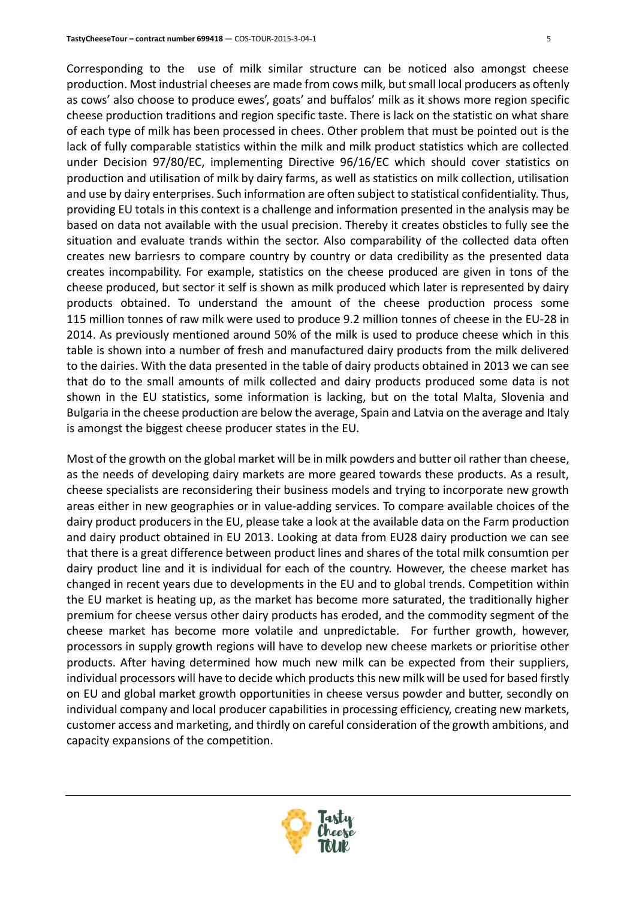Corresponding to the use of milk similar structure can be noticed also amongst cheese production. Most industrial cheeses are made from cows milk, but small local producers as oftenly as cows' also choose to produce ewes', goats' and buffalos' milk as it shows more region specific cheese production traditions and region specific taste. There is lack on the statistic on what share of each type of milk has been processed in chees. Other problem that must be pointed out is the lack of fully comparable statistics within the milk and milk product statistics which are collected under [Decision 97/80/EC,](http://eur-lex.europa.eu/LexUriServ/LexUriServ.do?uri=CELEX:31997D0080:EN:NOT) implementing [Directive 96/16/EC](http://eur-lex.europa.eu/LexUriServ/LexUriServ.do?uri=CELEX:31996L0016:EN:NOT) which should cover statistics on production and utilisation of milk by dairy farms, as well as statistics on milk collection, utilisation and use by dairy enterprises. Such information are often subject to statistical confidentiality. Thus, providing EU totals in this context is a challenge and information presented in the analysis may be based on data not available with the usual precision. Thereby it creates obsticles to fully see the situation and evaluate trands within the sector. Also comparability of the collected data often creates new barriesrs to compare country by country or data credibility as the presented data creates incompability. For example, statistics on the cheese produced are given in tons of the cheese produced, but sector it self is shown as milk produced which later is represented by dairy products obtained. To understand the amount of the cheese production process some 115 million tonnes of raw milk were used to produce 9.2 million tonnes of cheese in the EU-28 in 2014. As previously mentioned around 50% of the milk is used to produce cheese which in this table is shown into a number of fresh and manufactured dairy products from the milk delivered to the dairies. With the data presented in the table of dairy products obtained in 2013 we can see that do to the small amounts of milk collected and dairy products produced some data is not shown in the EU statistics, some information is lacking, but on the total Malta, Slovenia and Bulgaria in the cheese production are below the average, Spain and Latvia on the average and Italy is amongst the biggest cheese producer states in the EU.

Most of the growth on the global market will be in milk powders and butter oil rather than cheese, as the needs of developing dairy markets are more geared towards these products. As a result, cheese specialists are reconsidering their business models and trying to incorporate new growth areas either in new geographies or in value-adding services. To compare available choices of the dairy product producers in the EU, please take a look at the available data on the Farm production and dairy product obtained in EU 2013. Looking at data from EU28 dairy production we can see that there is a great difference between product lines and shares of the total milk consumtion per dairy product line and it is individual for each of the country. However, the cheese market has changed in recent years due to developments in the EU and to global trends. Competition within the EU market is heating up, as the market has become more saturated, the traditionally higher premium for cheese versus other dairy products has eroded, and the commodity segment of the cheese market has become more volatile and unpredictable. For further growth, however, processors in supply growth regions will have to develop new cheese markets or prioritise other products. After having determined how much new milk can be expected from their suppliers, individual processors will have to decide which products this new milk will be used for based firstly on EU and global market growth opportunities in cheese versus powder and butter, secondly on individual company and local producer capabilities in processing efficiency, creating new markets, customer access and marketing, and thirdly on careful consideration of the growth ambitions, and capacity expansions of the competition.

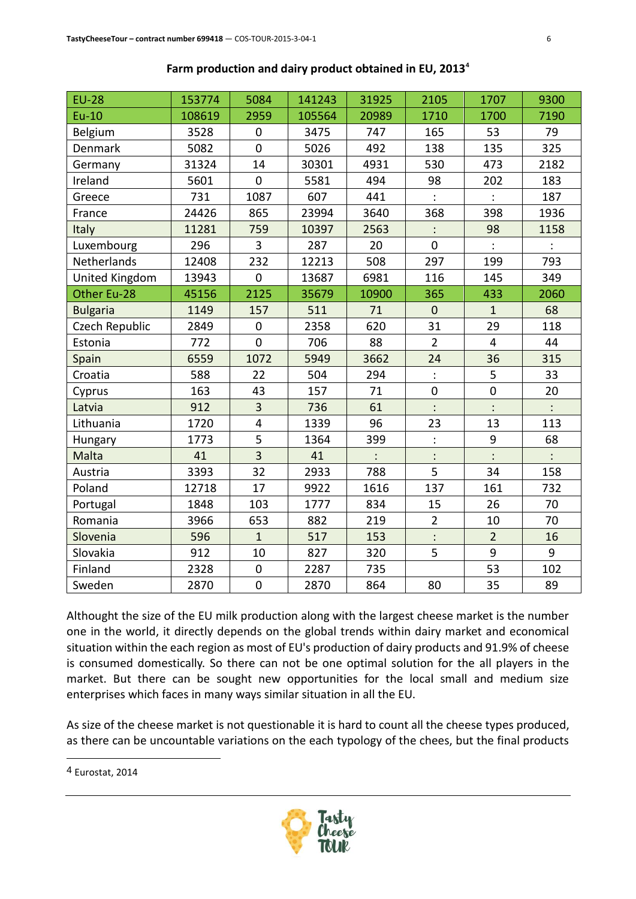| <b>EU-28</b>    | 153774 | 5084           | 141243 | 31925 | 2105           | 1707             | 9300 |
|-----------------|--------|----------------|--------|-------|----------------|------------------|------|
| $Eu-10$         | 108619 | 2959           | 105564 | 20989 | 1710           | 1700             | 7190 |
| Belgium         | 3528   | $\mathbf 0$    | 3475   | 747   | 165            | 53               | 79   |
| Denmark         | 5082   | $\mathbf 0$    | 5026   | 492   | 138            | 135              | 325  |
| Germany         | 31324  | 14             | 30301  | 4931  | 530            | 473              | 2182 |
| Ireland         | 5601   | $\mathbf 0$    | 5581   | 494   | 98             | 202              | 183  |
| Greece          | 731    | 1087           | 607    | 441   |                |                  | 187  |
| France          | 24426  | 865            | 23994  | 3640  | 368            | 398              | 1936 |
| Italy           | 11281  | 759            | 10397  | 2563  |                | 98               | 1158 |
| Luxembourg      | 296    | 3              | 287    | 20    | $\overline{0}$ |                  |      |
| Netherlands     | 12408  | 232            | 12213  | 508   | 297            | 199              | 793  |
| United Kingdom  | 13943  | $\mathbf 0$    | 13687  | 6981  | 116            | 145              | 349  |
| Other Eu-28     | 45156  | 2125           | 35679  | 10900 | 365            | 433              | 2060 |
| <b>Bulgaria</b> | 1149   | 157            | 511    | 71    | $\overline{0}$ | $\mathbf{1}$     | 68   |
| Czech Republic  | 2849   | $\mathbf 0$    | 2358   | 620   | 31             | 29               | 118  |
| Estonia         | 772    | $\mathbf 0$    | 706    | 88    | $\overline{2}$ | $\overline{4}$   | 44   |
| Spain           | 6559   | 1072           | 5949   | 3662  | 24             | 36               | 315  |
| Croatia         | 588    | 22             | 504    | 294   | $\ddot{\cdot}$ | 5                | 33   |
| Cyprus          | 163    | 43             | 157    | 71    | $\overline{0}$ | $\boldsymbol{0}$ | 20   |
| Latvia          | 912    | 3              | 736    | 61    |                |                  |      |
| Lithuania       | 1720   | $\overline{4}$ | 1339   | 96    | 23             | 13               | 113  |
| Hungary         | 1773   | 5              | 1364   | 399   | $\ddot{\cdot}$ | 9                | 68   |
| Malta           | 41     | $\overline{3}$ | 41     |       |                |                  |      |
| Austria         | 3393   | 32             | 2933   | 788   | 5              | 34               | 158  |
| Poland          | 12718  | 17             | 9922   | 1616  | 137            | 161              | 732  |
| Portugal        | 1848   | 103            | 1777   | 834   | 15             | 26               | 70   |
| Romania         | 3966   | 653            | 882    | 219   | $\overline{2}$ | 10               | 70   |
| Slovenia        | 596    | $\mathbf{1}$   | 517    | 153   |                | $\overline{2}$   | 16   |
| Slovakia        | 912    | 10             | 827    | 320   | 5              | 9                | 9    |
| Finland         | 2328   | $\pmb{0}$      | 2287   | 735   |                | 53               | 102  |
| Sweden          | 2870   | $\pmb{0}$      | 2870   | 864   | 80             | 35               | 89   |

| Farm production and dairy product obtained in EU, 2013 <sup>4</sup> |  |  |  |
|---------------------------------------------------------------------|--|--|--|
|---------------------------------------------------------------------|--|--|--|

Althought the size of the EU milk production along with the largest cheese market is the number one in the world, it directly depends on the global trends within dairy market and economical situation within the each region as most of EU's production of dairy products and 91.9% of cheese is consumed domestically. So there can not be one optimal solution for the all players in the market. But there can be sought new opportunities for the local small and medium size enterprises which faces in many ways similar situation in all the EU.

As size of the cheese market is not questionable it is hard to count all the cheese types produced, as there can be uncountable variations on the each typology of the chees, but the final products

 $\overline{a}$ 



<sup>4</sup> Eurostat, 2014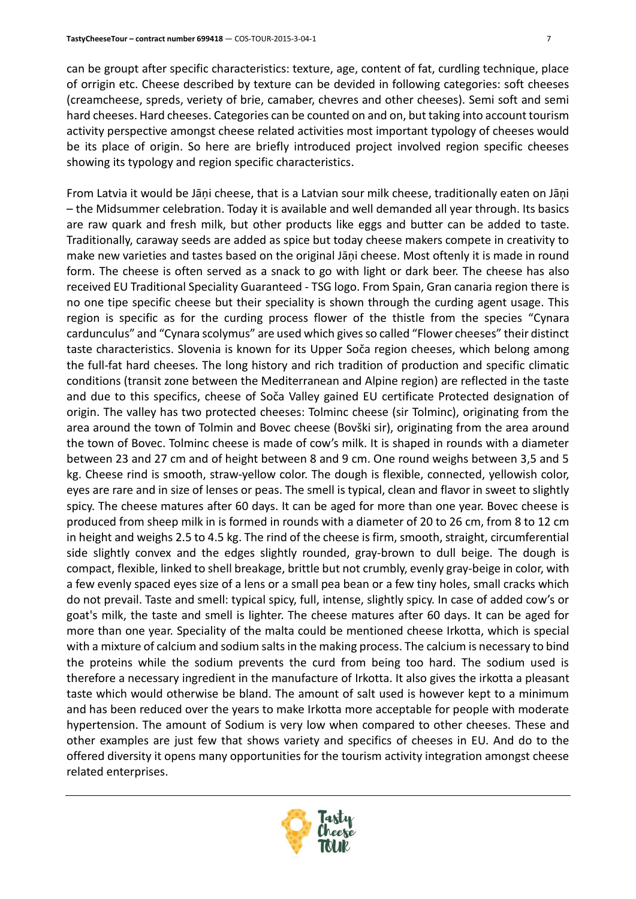can be groupt after specific characteristics: texture, age, content of fat, curdling technique, place of orrigin etc. Cheese described by texture can be devided in following categories: soft cheeses (creamcheese, spreds, veriety of brie, camaber, chevres and other cheeses). Semi soft and semi hard cheeses. Hard cheeses. Categories can be counted on and on, but taking into account tourism activity perspective amongst cheese related activities most important typology of cheeses would be its place of origin. So here are briefly introduced project involved region specific cheeses showing its typology and region specific characteristics.

From Latvia it would be Jāņi cheese, that is a Latvian sour milk cheese, traditionally eaten on Jāņi – the Midsummer celebration. Today it is available and well demanded all year through. Its basics are raw quark and fresh milk, but other products like eggs and butter can be added to taste. Traditionally, caraway seeds are added as spice but today cheese makers compete in creativity to make new varieties and tastes based on the original Jāņi cheese. Most oftenly it is made in round form. The cheese is often served as a snack to go with light or dark beer. The cheese has also received EU Traditional Speciality Guaranteed - TSG logo. From Spain, Gran canaria region there is no one tipe specific cheese but their speciality is shown through the curding agent usage. This region is specific as for the curding process flower of the thistle from the species "Cynara cardunculus" and "Cynara scolymus" are used which gives so called "Flower cheeses" their distinct taste characteristics. Slovenia is known for its Upper Soča region cheeses, which belong among the full-fat hard cheeses. The long history and rich tradition of production and specific climatic conditions (transit zone between the Mediterranean and Alpine region) are reflected in the taste and due to this specifics, cheese of Soča Valley gained EU certificate Protected designation of origin. The valley has two protected cheeses: Tolminc cheese (sir Tolminc), originating from the area around the town of Tolmin and Bovec cheese (Bovški sir), originating from the area around the town of Bovec. Tolminc cheese is made of cow's milk. It is shaped in rounds with a diameter between 23 and 27 cm and of height between 8 and 9 cm. One round weighs between 3,5 and 5 kg. Cheese rind is smooth, straw-yellow color. The dough is flexible, connected, yellowish color, eyes are rare and in size of lenses or peas. The smell is typical, clean and flavor in sweet to slightly spicy. The cheese matures after 60 days. It can be aged for more than one year. Bovec cheese is produced from sheep milk in is formed in rounds with a diameter of 20 to 26 cm, from 8 to 12 cm in height and weighs 2.5 to 4.5 kg. The rind of the cheese is firm, smooth, straight, circumferential side slightly convex and the edges slightly rounded, gray-brown to dull beige. The dough is compact, flexible, linked to shell breakage, brittle but not crumbly, evenly gray-beige in color, with a few evenly spaced eyes size of a lens or a small pea bean or a few tiny holes, small cracks which do not prevail. Taste and smell: typical spicy, full, intense, slightly spicy. In case of added cow's or goat's milk, the taste and smell is lighter. The cheese matures after 60 days. It can be aged for more than one year. Speciality of the malta could be mentioned cheese Irkotta, which is special with a mixture of calcium and sodium salts in the making process. The calcium is necessary to bind the proteins while the sodium prevents the curd from being too hard. The sodium used is therefore a necessary ingredient in the manufacture of Irkotta. It also gives the irkotta a pleasant taste which would otherwise be bland. The amount of salt used is however kept to a minimum and has been reduced over the years to make Irkotta more acceptable for people with moderate hypertension. The amount of Sodium is very low when compared to other cheeses. These and other examples are just few that shows variety and specifics of cheeses in EU. And do to the offered diversity it opens many opportunities for the tourism activity integration amongst cheese related enterprises.

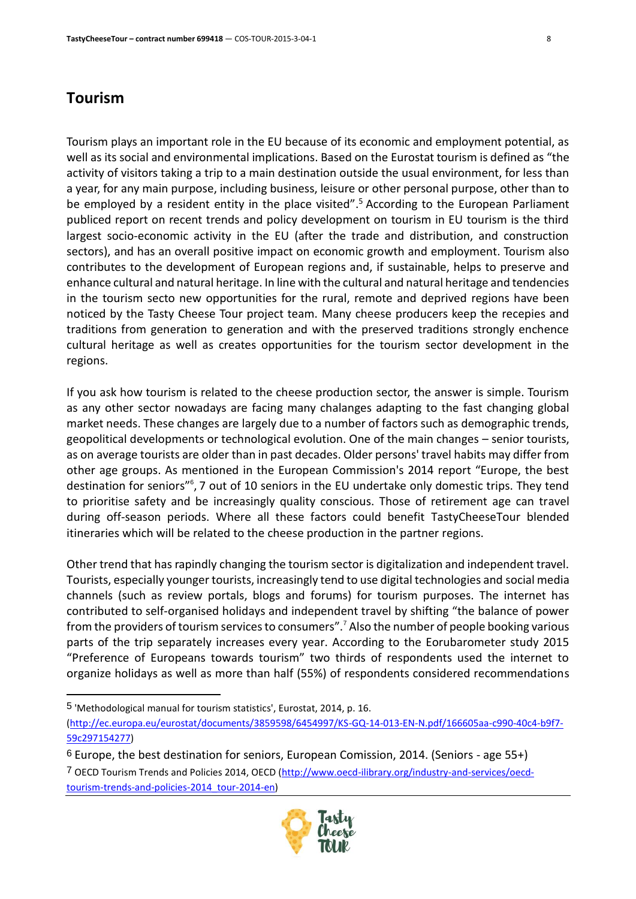### **Tourism**

l

Tourism plays an important role in the EU because of its economic and employment potential, as well as its social and environmental implications. Based on the Eurostat tourism is defined as "the activity of visitors taking a trip to a main destination outside the usual environment, for less than a year, for any main purpose, including business, leisure or other personal purpose, other than to be employed by a resident entity in the place visited". <sup>5</sup> According to the European Parliament publiced report on recent trends and policy development on tourism in EU tourism is the third largest socio-economic activity in the EU (after the trade and distribution, and construction sectors), and has an overall positive impact on economic growth and employment. Tourism also contributes to the development of European regions and, if sustainable, helps to preserve and enhance cultural and natural heritage. In line with the cultural and natural heritage and tendencies in the tourism secto new opportunities for the rural, remote and deprived regions have been noticed by the Tasty Cheese Tour project team. Many cheese producers keep the recepies and traditions from generation to generation and with the preserved traditions strongly enchence cultural heritage as well as creates opportunities for the tourism sector development in the regions.

If you ask how tourism is related to the cheese production sector, the answer is simple. Tourism as any other sector nowadays are facing many chalanges adapting to the fast changing global market needs. These changes are largely due to a number of factors such as demographic trends, geopolitical developments or technological evolution. One of the main changes – senior tourists, as on average tourists are older than in past decades. Older persons' travel habits may differ from other age groups. As mentioned in the European Commission's 2014 report "Europe, the best destination for seniors"<sup>6</sup>, 7 out of 10 seniors in the EU undertake only domestic trips. They tend to prioritise safety and be increasingly quality conscious. Those of retirement age can travel during off-season periods. Where all these factors could benefit TastyCheeseTour blended itineraries which will be related to the cheese production in the partner regions.

Other trend that has rapindly changing the tourism sector is digitalization and independent travel. Tourists, especially younger tourists, increasingly tend to use digital technologies and social media channels (such as review portals, blogs and forums) for tourism purposes. The internet has contributed to self-organised holidays and independent travel by shifting "the balance of power from the providers of tourism services to consumers".<sup>7</sup> Also the number of people booking various parts of the trip separately increases every year. According to the Eorubarometer study 2015 "Preference of Europeans towards tourism" two thirds of respondents used the internet to organize holidays as well as more than half (55%) of respondents considered recommendations

<sup>7</sup> OECD Tourism Trends and Policies 2014, OECD [\(http://www.oecd-ilibrary.org/industry-and-services/oecd](http://www.oecd-ilibrary.org/industry-and-services/oecd-tourism-trends-and-policies-2014_tour-2014-en)tourism-trends-and-policies-2014 tour-2014-en)



<sup>5</sup> 'Methodological manual for tourism statistics', Eurostat, 2014, p. 16. [\(http://ec.europa.eu/eurostat/documents/3859598/6454997/KS-GQ-14-013-EN-N.pdf/166605aa-c990-40c4-b9f7-](http://ec.europa.eu/eurostat/documents/3859598/6454997/KS-GQ-14-013-EN-N.pdf/166605aa-c990-40c4-b9f7-59c297154277) [59c297154277\)](http://ec.europa.eu/eurostat/documents/3859598/6454997/KS-GQ-14-013-EN-N.pdf/166605aa-c990-40c4-b9f7-59c297154277)

<sup>6</sup> Europe, the best destination for seniors, European Comission, 2014. (Seniors - age 55+)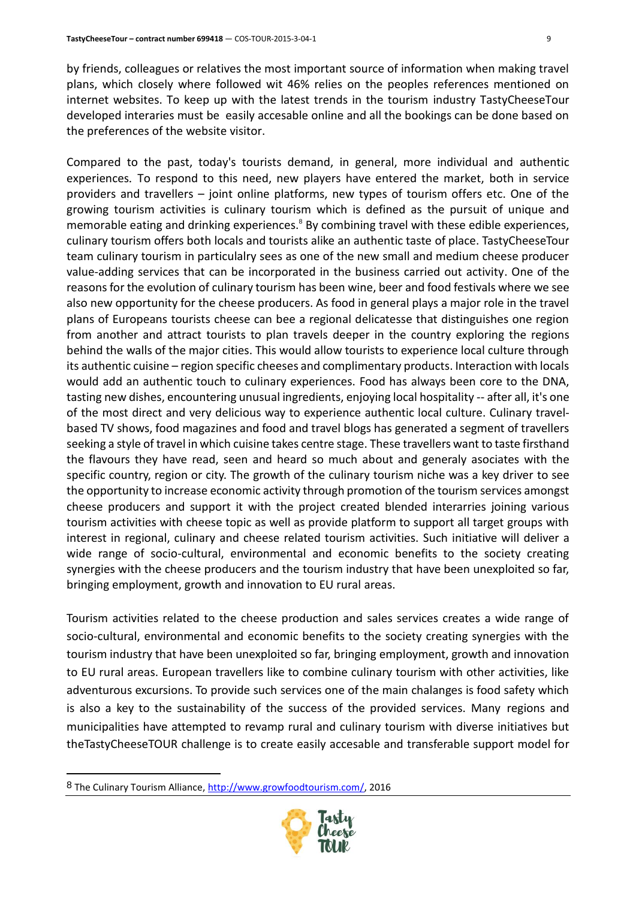by friends, colleagues or relatives the most important source of information when making travel plans, which closely where followed wit 46% relies on the peoples references mentioned on internet websites. To keep up with the latest trends in the tourism industry TastyCheeseTour developed interaries must be easily accesable online and all the bookings can be done based on the preferences of the website visitor.

Compared to the past, today's tourists demand, in general, more individual and authentic experiences*.* To respond to this need, new players have entered the market, both in service providers and travellers – joint online platforms, new types of tourism offers etc. One of the growing tourism activities is culinary tourism which is defined as the pursuit of unique and memorable eating and drinking experiences.<sup>8</sup> By combining travel with these edible experiences, culinary tourism offers both locals and tourists alike an authentic taste of place. TastyCheeseTour team culinary tourism in particulalry sees as one of the new small and medium cheese producer value-adding services that can be incorporated in the business carried out activity. One of the reasons for the evolution of culinary tourism has been wine, beer and food festivals where we see also new opportunity for the cheese producers. As food in general plays a major role in the travel plans of Europeans tourists cheese can bee a regional delicatesse that distinguishes one region from another and attract tourists to plan travels deeper in the country exploring the regions behind the walls of the major cities. This would allow tourists to experience local culture through its authentic cuisine – region specific cheeses and complimentary products. Interaction with locals would add an authentic touch to culinary experiences. Food has always been core to the DNA, tasting new dishes, encountering unusual ingredients, enjoying local hospitality -- after all, it's one of the most direct and very delicious way to experience authentic local culture. Culinary travelbased TV shows, food magazines and food and travel blogs has generated a segment of travellers seeking a style of travel in which cuisine takes centre stage. These travellers want to taste firsthand the flavours they have read, seen and heard so much about and generaly asociates with the specific country, region or city. The growth of the culinary tourism niche was a key driver to see the opportunity to increase economic activity through promotion of the tourism services amongst cheese producers and support it with the project created blended interarries joining various tourism activities with cheese topic as well as provide platform to support all target groups with interest in regional, culinary and cheese related tourism activities. Such initiative will deliver a wide range of socio-cultural, environmental and economic benefits to the society creating synergies with the cheese producers and the tourism industry that have been unexploited so far, bringing employment, growth and innovation to EU rural areas.

Tourism activities related to the cheese production and sales services creates a wide range of socio-cultural, environmental and economic benefits to the society creating synergies with the tourism industry that have been unexploited so far, bringing employment, growth and innovation to EU rural areas. European travellers like to combine culinary tourism with other activities, like adventurous excursions. To provide such services one of the main chalanges is food safety which is also a key to the sustainability of the success of the provided services. Many regions and municipalities have attempted to revamp rural and culinary tourism with diverse initiatives but theTastyCheeseTOUR challenge is to create easily accesable and transferable support model for

 $\overline{\phantom{a}}$ 



<sup>8</sup> The Culinary Tourism Alliance[, http://www.growfoodtourism.com/,](http://www.growfoodtourism.com/) 2016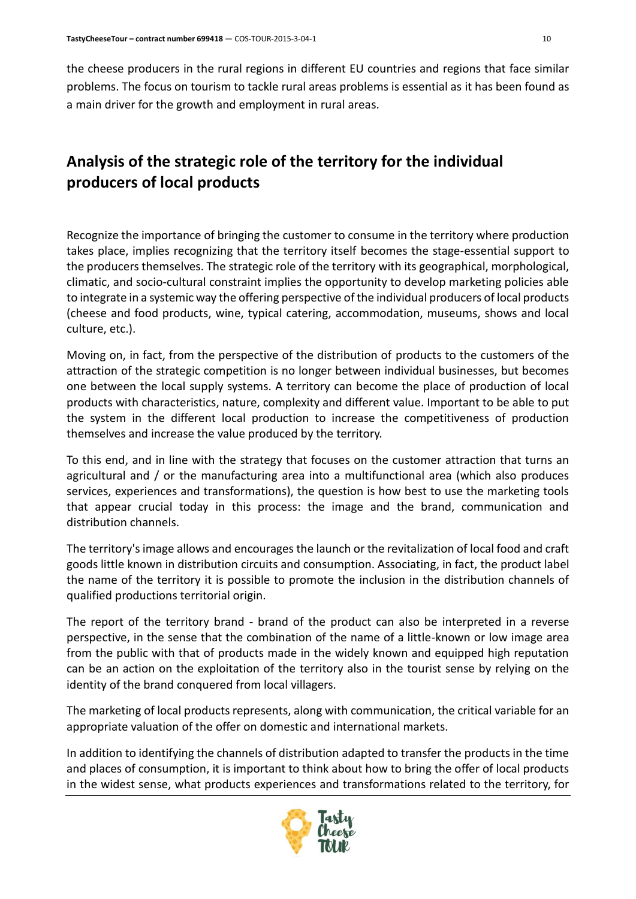the cheese producers in the rural regions in different EU countries and regions that face similar problems. The focus on tourism to tackle rural areas problems is essential as it has been found as a main driver for the growth and employment in rural areas.

## **Analysis of the strategic role of the territory for the individual producers of local products**

Recognize the importance of bringing the customer to consume in the territory where production takes place, implies recognizing that the territory itself becomes the stage-essential support to the producers themselves. The strategic role of the territory with its geographical, morphological, climatic, and socio-cultural constraint implies the opportunity to develop marketing policies able to integrate in a systemic way the offering perspective of the individual producers of local products (cheese and food products, wine, typical catering, accommodation, museums, shows and local culture, etc.).

Moving on, in fact, from the perspective of the distribution of products to the customers of the attraction of the strategic competition is no longer between individual businesses, but becomes one between the local supply systems. A territory can become the place of production of local products with characteristics, nature, complexity and different value. Important to be able to put the system in the different local production to increase the competitiveness of production themselves and increase the value produced by the territory.

To this end, and in line with the strategy that focuses on the customer attraction that turns an agricultural and / or the manufacturing area into a multifunctional area (which also produces services, experiences and transformations), the question is how best to use the marketing tools that appear crucial today in this process: the image and the brand, communication and distribution channels.

The territory's image allows and encourages the launch or the revitalization of local food and craft goods little known in distribution circuits and consumption. Associating, in fact, the product label the name of the territory it is possible to promote the inclusion in the distribution channels of qualified productions territorial origin.

The report of the territory brand - brand of the product can also be interpreted in a reverse perspective, in the sense that the combination of the name of a little-known or low image area from the public with that of products made in the widely known and equipped high reputation can be an action on the exploitation of the territory also in the tourist sense by relying on the identity of the brand conquered from local villagers.

The marketing of local products represents, along with communication, the critical variable for an appropriate valuation of the offer on domestic and international markets.

In addition to identifying the channels of distribution adapted to transfer the products in the time and places of consumption, it is important to think about how to bring the offer of local products in the widest sense, what products experiences and transformations related to the territory, for

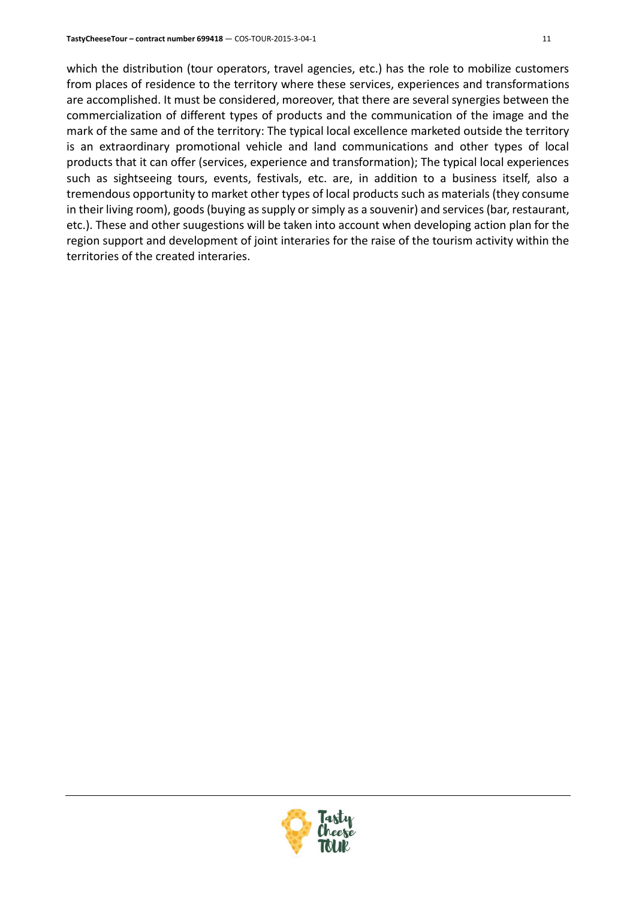which the distribution (tour operators, travel agencies, etc.) has the role to mobilize customers from places of residence to the territory where these services, experiences and transformations are accomplished. It must be considered, moreover, that there are several synergies between the commercialization of different types of products and the communication of the image and the mark of the same and of the territory: The typical local excellence marketed outside the territory is an extraordinary promotional vehicle and land communications and other types of local products that it can offer (services, experience and transformation); The typical local experiences such as sightseeing tours, events, festivals, etc. are, in addition to a business itself, also a tremendous opportunity to market other types of local products such as materials (they consume in their living room), goods (buying as supply or simply as a souvenir) and services (bar, restaurant, etc.). These and other suugestions will be taken into account when developing action plan for the region support and development of joint interaries for the raise of the tourism activity within the territories of the created interaries.

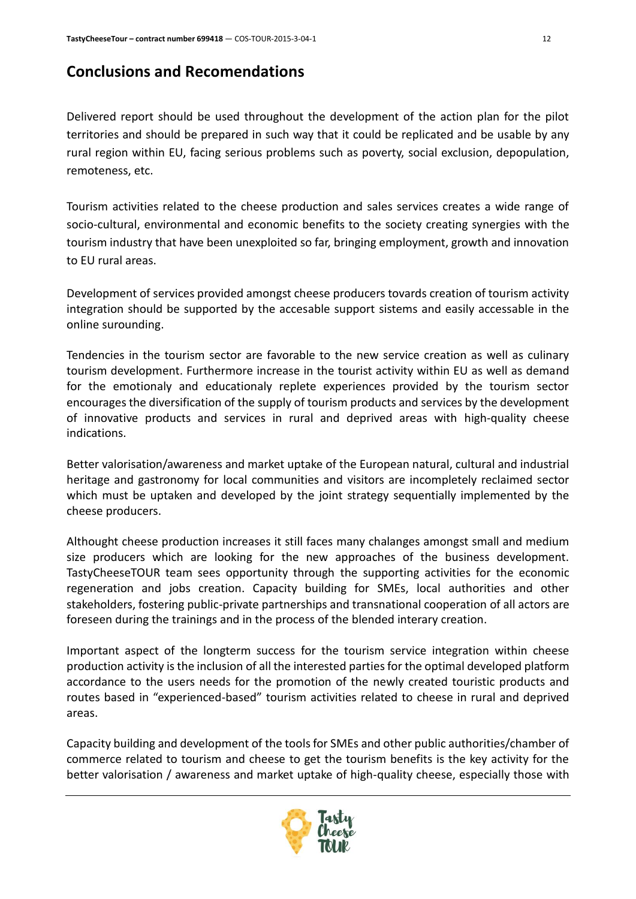### **Conclusions and Recomendations**

Delivered report should be used throughout the development of the action plan for the pilot territories and should be prepared in such way that it could be replicated and be usable by any rural region within EU, facing serious problems such as poverty, social exclusion, depopulation, remoteness, etc.

Tourism activities related to the cheese production and sales services creates a wide range of socio-cultural, environmental and economic benefits to the society creating synergies with the tourism industry that have been unexploited so far, bringing employment, growth and innovation to EU rural areas.

Development of services provided amongst cheese producers tovards creation of tourism activity integration should be supported by the accesable support sistems and easily accessable in the online surounding.

Tendencies in the tourism sector are favorable to the new service creation as well as culinary tourism development. Furthermore increase in the tourist activity within EU as well as demand for the emotionaly and educationaly replete experiences provided by the tourism sector encourages the diversification of the supply of tourism products and services by the development of innovative products and services in rural and deprived areas with high-quality cheese indications.

Better valorisation/awareness and market uptake of the European natural, cultural and industrial heritage and gastronomy for local communities and visitors are incompletely reclaimed sector which must be uptaken and developed by the joint strategy sequentially implemented by the cheese producers.

Althought cheese production increases it still faces many chalanges amongst small and medium size producers which are looking for the new approaches of the business development. TastyCheeseTOUR team sees opportunity through the supporting activities for the economic regeneration and jobs creation. Capacity building for SMEs, local authorities and other stakeholders, fostering public-private partnerships and transnational cooperation of all actors are foreseen during the trainings and in the process of the blended interary creation.

Important aspect of the longterm success for the tourism service integration within cheese production activity is the inclusion of all the interested partiesfor the optimal developed platform accordance to the users needs for the promotion of the newly created touristic products and routes based in "experienced-based" tourism activities related to cheese in rural and deprived areas.

Capacity building and development of the tools for SMEs and other public authorities/chamber of commerce related to tourism and cheese to get the tourism benefits is the key activity for the better valorisation / awareness and market uptake of high-quality cheese, especially those with